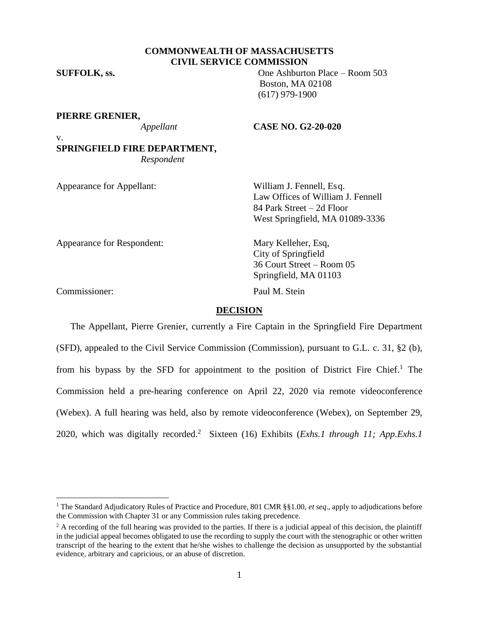# **COMMONWEALTH OF MASSACHUSETTS CIVIL SERVICE COMMISSION**

**SUFFOLK, ss.** One Ashburton Place – Room 503

v.

### **PIERRE GRENIER,**

#### *Appellant* **CASE NO. G2-20-020**

Boston, MA 02108 (617) 979-1900

**SPRINGFIELD FIRE DEPARTMENT,** *Respondent*

Appearance for Appellant: William J. Fennell, Esq.

Law Offices of William J. Fennell 84 Park Street – 2d Floor West Springfield, MA 01089-3336

Appearance for Respondent: Mary Kelleher, Esq,

City of Springfield 36 Court Street – Room 05 Springfield, MA 01103

Commissioner: Paul M. Stein

## **DECISION**

The Appellant, Pierre Grenier, currently a Fire Captain in the Springfield Fire Department (SFD), appealed to the Civil Service Commission (Commission), pursuant to G.L. c. 31, §2 (b), from his bypass by the SFD for appointment to the position of District Fire Chief.<sup>1</sup> The Commission held a pre-hearing conference on April 22, 2020 via remote videoconference (Webex). A full hearing was held, also by remote videoconference (Webex), on September 29, 2020, which was digitally recorded. <sup>2</sup> Sixteen (16) Exhibits (*Exhs.1 through 11; App.Exhs.1* 

<sup>1</sup> The Standard Adjudicatory Rules of Practice and Procedure, 801 CMR §§1.00, *et seq*., apply to adjudications before the Commission with Chapter 31 or any Commission rules taking precedence.

<sup>&</sup>lt;sup>2</sup> A recording of the full hearing was provided to the parties. If there is a judicial appeal of this decision, the plaintiff in the judicial appeal becomes obligated to use the recording to supply the court with the stenographic or other written transcript of the hearing to the extent that he/she wishes to challenge the decision as unsupported by the substantial evidence, arbitrary and capricious, or an abuse of discretion.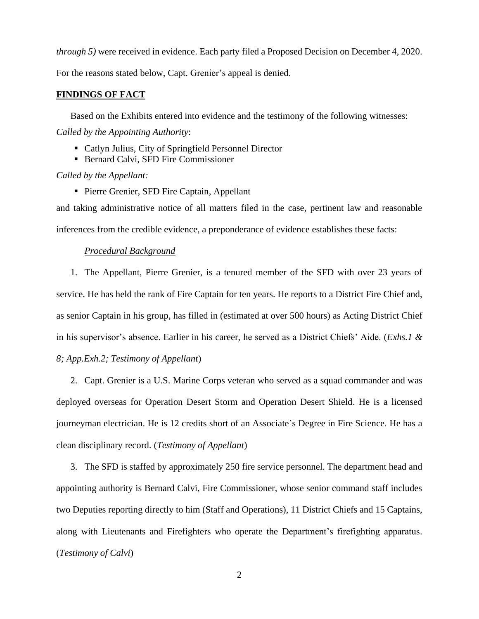*through 5)* were received in evidence. Each party filed a Proposed Decision on December 4, 2020.

For the reasons stated below, Capt. Grenier's appeal is denied.

#### **FINDINGS OF FACT**

Based on the Exhibits entered into evidence and the testimony of the following witnesses: *Called by the Appointing Authority*:

- Catlyn Julius, City of Springfield Personnel Director
- Bernard Calvi, SFD Fire Commissioner

*Called by the Appellant:*

■ Pierre Grenier, SFD Fire Captain, Appellant

and taking administrative notice of all matters filed in the case, pertinent law and reasonable inferences from the credible evidence, a preponderance of evidence establishes these facts:

## *Procedural Background*

1. The Appellant, Pierre Grenier, is a tenured member of the SFD with over 23 years of service. He has held the rank of Fire Captain for ten years. He reports to a District Fire Chief and, as senior Captain in his group, has filled in (estimated at over 500 hours) as Acting District Chief in his supervisor's absence. Earlier in his career, he served as a District Chiefs' Aide. (*Exhs.1 & 8; App.Exh.2; Testimony of Appellant*)

2. Capt. Grenier is a U.S. Marine Corps veteran who served as a squad commander and was deployed overseas for Operation Desert Storm and Operation Desert Shield. He is a licensed journeyman electrician. He is 12 credits short of an Associate's Degree in Fire Science. He has a clean disciplinary record. (*Testimony of Appellant*)

3. The SFD is staffed by approximately 250 fire service personnel. The department head and appointing authority is Bernard Calvi, Fire Commissioner, whose senior command staff includes two Deputies reporting directly to him (Staff and Operations), 11 District Chiefs and 15 Captains, along with Lieutenants and Firefighters who operate the Department's firefighting apparatus. (*Testimony of Calvi*)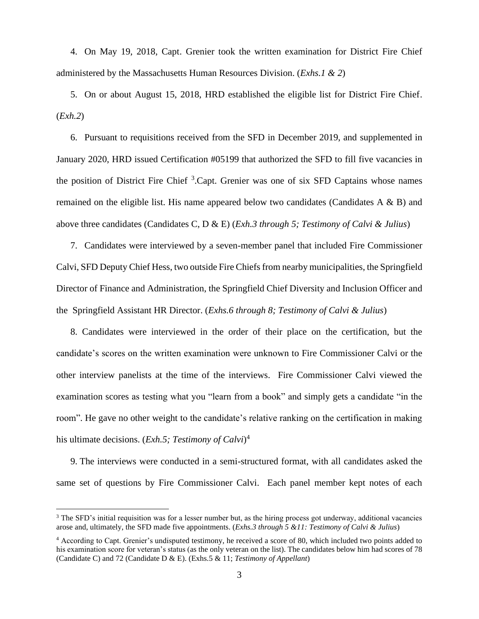4. On May 19, 2018, Capt. Grenier took the written examination for District Fire Chief administered by the Massachusetts Human Resources Division. (*Exhs.1 & 2*)

5. On or about August 15, 2018, HRD established the eligible list for District Fire Chief. (*Exh.2*)

6. Pursuant to requisitions received from the SFD in December 2019, and supplemented in January 2020, HRD issued Certification #05199 that authorized the SFD to fill five vacancies in the position of District Fire Chief<sup>3</sup>.Capt. Grenier was one of six SFD Captains whose names remained on the eligible list. His name appeared below two candidates (Candidates A & B) and above three candidates (Candidates C, D & E) (*Exh.3 through 5; Testimony of Calvi & Julius*)

7. Candidates were interviewed by a seven-member panel that included Fire Commissioner Calvi, SFD Deputy Chief Hess, two outside Fire Chiefs from nearby municipalities, the Springfield Director of Finance and Administration, the Springfield Chief Diversity and Inclusion Officer and the Springfield Assistant HR Director. (*Exhs.6 through 8; Testimony of Calvi & Julius*)

8. Candidates were interviewed in the order of their place on the certification, but the candidate's scores on the written examination were unknown to Fire Commissioner Calvi or the other interview panelists at the time of the interviews. Fire Commissioner Calvi viewed the examination scores as testing what you "learn from a book" and simply gets a candidate "in the room". He gave no other weight to the candidate's relative ranking on the certification in making his ultimate decisions. (*Exh.5; Testimony of Calvi*) 4

9. The interviews were conducted in a semi-structured format, with all candidates asked the same set of questions by Fire Commissioner Calvi. Each panel member kept notes of each

<sup>&</sup>lt;sup>3</sup> The SFD's initial requisition was for a lesser number but, as the hiring process got underway, additional vacancies arose and, ultimately, the SFD made five appointments. (*Exhs.3 through 5 &11: Testimony of Calvi & Julius*)

<sup>4</sup> According to Capt. Grenier's undisputed testimony, he received a score of 80, which included two points added to his examination score for veteran's status (as the only veteran on the list). The candidates below him had scores of 78 (Candidate C) and 72 (Candidate D & E). (Exhs.5 & 11; *Testimony of Appellant*)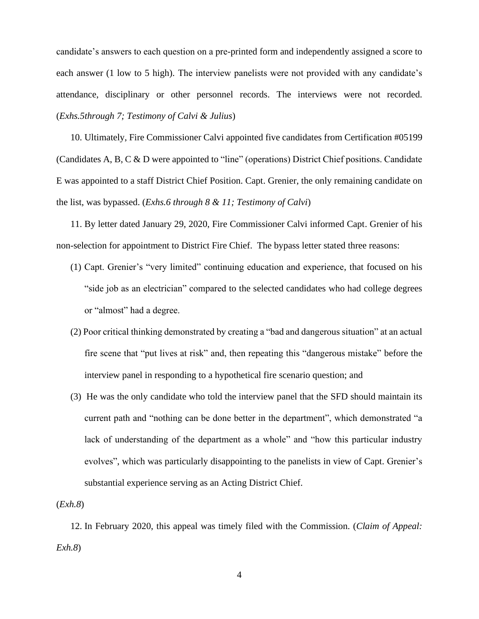candidate's answers to each question on a pre-printed form and independently assigned a score to each answer (1 low to 5 high). The interview panelists were not provided with any candidate's attendance, disciplinary or other personnel records. The interviews were not recorded. (*Exhs.5through 7; Testimony of Calvi & Julius*)

10. Ultimately, Fire Commissioner Calvi appointed five candidates from Certification #05199 (Candidates A, B, C & D were appointed to "line" (operations) District Chief positions. Candidate E was appointed to a staff District Chief Position. Capt. Grenier, the only remaining candidate on the list, was bypassed. (*Exhs.6 through 8 & 11; Testimony of Calvi*)

11. By letter dated January 29, 2020, Fire Commissioner Calvi informed Capt. Grenier of his non-selection for appointment to District Fire Chief. The bypass letter stated three reasons:

- (1) Capt. Grenier's "very limited" continuing education and experience, that focused on his "side job as an electrician" compared to the selected candidates who had college degrees or "almost" had a degree.
- (2) Poor critical thinking demonstrated by creating a "bad and dangerous situation" at an actual fire scene that "put lives at risk" and, then repeating this "dangerous mistake" before the interview panel in responding to a hypothetical fire scenario question; and
- (3) He was the only candidate who told the interview panel that the SFD should maintain its current path and "nothing can be done better in the department", which demonstrated "a lack of understanding of the department as a whole" and "how this particular industry evolves", which was particularly disappointing to the panelists in view of Capt. Grenier's substantial experience serving as an Acting District Chief.

(*Exh.8*)

12. In February 2020, this appeal was timely filed with the Commission. (*Claim of Appeal: Exh.8*)

4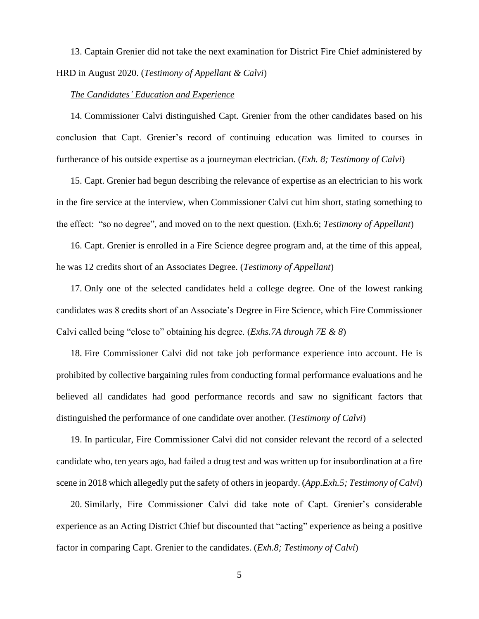13. Captain Grenier did not take the next examination for District Fire Chief administered by HRD in August 2020. (*Testimony of Appellant & Calvi*)

### *The Candidates' Education and Experience*

14. Commissioner Calvi distinguished Capt. Grenier from the other candidates based on his conclusion that Capt. Grenier's record of continuing education was limited to courses in furtherance of his outside expertise as a journeyman electrician. (*Exh. 8; Testimony of Calvi*)

15. Capt. Grenier had begun describing the relevance of expertise as an electrician to his work in the fire service at the interview, when Commissioner Calvi cut him short, stating something to the effect: "so no degree", and moved on to the next question. (Exh.6; *Testimony of Appellant*)

16. Capt. Grenier is enrolled in a Fire Science degree program and, at the time of this appeal, he was 12 credits short of an Associates Degree. (*Testimony of Appellant*)

17. Only one of the selected candidates held a college degree. One of the lowest ranking candidates was 8 credits short of an Associate's Degree in Fire Science, which Fire Commissioner Calvi called being "close to" obtaining his degree. (*Exhs.7A through 7E & 8*)

18. Fire Commissioner Calvi did not take job performance experience into account. He is prohibited by collective bargaining rules from conducting formal performance evaluations and he believed all candidates had good performance records and saw no significant factors that distinguished the performance of one candidate over another. (*Testimony of Calvi*)

19. In particular, Fire Commissioner Calvi did not consider relevant the record of a selected candidate who, ten years ago, had failed a drug test and was written up for insubordination at a fire scene in 2018 which allegedly put the safety of others in jeopardy. (*App.Exh.5; Testimony of Calvi*)

20. Similarly, Fire Commissioner Calvi did take note of Capt. Grenier's considerable experience as an Acting District Chief but discounted that "acting" experience as being a positive factor in comparing Capt. Grenier to the candidates. (*Exh.8; Testimony of Calvi*)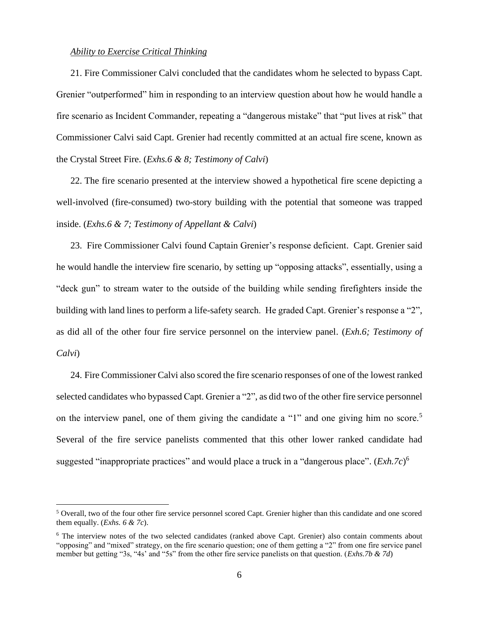### *Ability to Exercise Critical Thinking*

21. Fire Commissioner Calvi concluded that the candidates whom he selected to bypass Capt. Grenier "outperformed" him in responding to an interview question about how he would handle a fire scenario as Incident Commander, repeating a "dangerous mistake" that "put lives at risk" that Commissioner Calvi said Capt. Grenier had recently committed at an actual fire scene, known as the Crystal Street Fire. (*Exhs.6 & 8; Testimony of Calvi*)

22. The fire scenario presented at the interview showed a hypothetical fire scene depicting a well-involved (fire-consumed) two-story building with the potential that someone was trapped inside. (*Exhs.6 & 7; Testimony of Appellant & Calvi*)

23. Fire Commissioner Calvi found Captain Grenier's response deficient. Capt. Grenier said he would handle the interview fire scenario, by setting up "opposing attacks", essentially, using a "deck gun" to stream water to the outside of the building while sending firefighters inside the building with land lines to perform a life-safety search. He graded Capt. Grenier's response a "2", as did all of the other four fire service personnel on the interview panel. (*Exh.6; Testimony of Calvi*)

24. Fire Commissioner Calvi also scored the fire scenario responses of one of the lowest ranked selected candidates who bypassed Capt. Grenier a "2", as did two of the other fire service personnel on the interview panel, one of them giving the candidate a "1" and one giving him no score.<sup>5</sup> Several of the fire service panelists commented that this other lower ranked candidate had suggested "inappropriate practices" and would place a truck in a "dangerous place". (*Exh.7c*)<sup>6</sup>

<sup>5</sup> Overall, two of the four other fire service personnel scored Capt. Grenier higher than this candidate and one scored them equally. (*Exhs. 6 & 7c*).

<sup>&</sup>lt;sup>6</sup> The interview notes of the two selected candidates (ranked above Capt. Grenier) also contain comments about "opposing" and "mixed" strategy, on the fire scenario question; one of them getting a "2" from one fire service panel member but getting "3s, "4s' and "5s" from the other fire service panelists on that question. (*Exhs.7b & 7d*)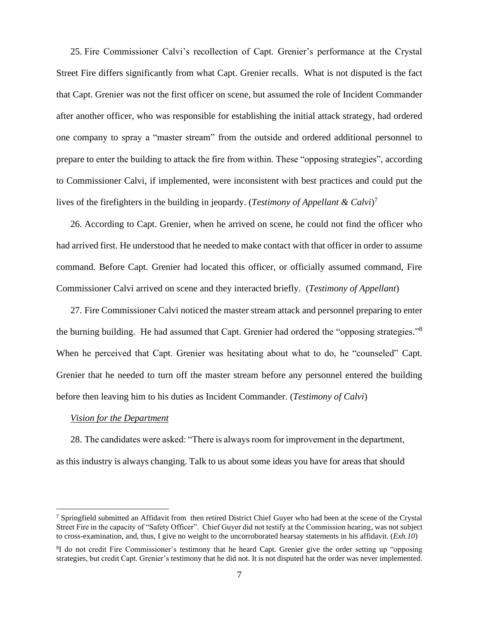25. Fire Commissioner Calvi's recollection of Capt. Grenier's performance at the Crystal Street Fire differs significantly from what Capt. Grenier recalls. What is not disputed is the fact that Capt. Grenier was not the first officer on scene, but assumed the role of Incident Commander after another officer, who was responsible for establishing the initial attack strategy, had ordered one company to spray a "master stream" from the outside and ordered additional personnel to prepare to enter the building to attack the fire from within. These "opposing strategies", according to Commissioner Calvi, if implemented, were inconsistent with best practices and could put the lives of the firefighters in the building in jeopardy. (*Testimony of Appellant & Calvi*) 7

26. According to Capt. Grenier, when he arrived on scene, he could not find the officer who had arrived first. He understood that he needed to make contact with that officer in order to assume command. Before Capt. Grenier had located this officer, or officially assumed command, Fire Commissioner Calvi arrived on scene and they interacted briefly. (*Testimony of Appellant*)

27. Fire Commissioner Calvi noticed the master stream attack and personnel preparing to enter the burning building. He had assumed that Capt. Grenier had ordered the "opposing strategies."<sup>8</sup> When he perceived that Capt. Grenier was hesitating about what to do, he "counseled" Capt. Grenier that he needed to turn off the master stream before any personnel entered the building before then leaving him to his duties as Incident Commander. (*Testimony of Calvi*)

### *Vision for the Department*

28. The candidates were asked: "There is always room for improvement in the department, as this industry is always changing. Talk to us about some ideas you have for areas that should

<sup>&</sup>lt;sup>7</sup> Springfield submitted an Affidavit from then retired District Chief Guyer who had been at the scene of the Crystal Street Fire in the capacity of "Safety Officer". Chief Guyer did not testify at the Commission hearing, was not subject to cross-examination, and, thus, I give no weight to the uncorroborated hearsay statements in his affidavit. (*Exh.10*)

<sup>&</sup>lt;sup>8</sup>I do not credit Fire Commissioner's testimony that he heard Capt. Grenier give the order setting up "opposing strategies, but credit Capt. Grenier's testimony that he did not. It is not disputed hat the order was never implemented.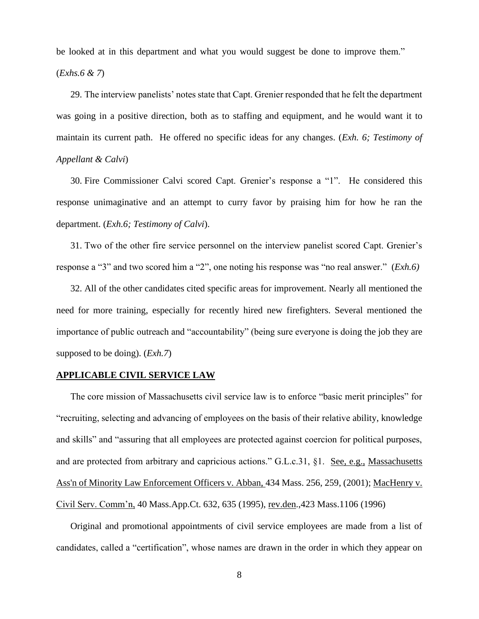be looked at in this department and what you would suggest be done to improve them."

(*Exhs.6 & 7*)

29. The interview panelists' notes state that Capt. Grenier responded that he felt the department was going in a positive direction, both as to staffing and equipment, and he would want it to maintain its current path. He offered no specific ideas for any changes. (*Exh. 6; Testimony of Appellant & Calvi*)

30. Fire Commissioner Calvi scored Capt. Grenier's response a "1". He considered this response unimaginative and an attempt to curry favor by praising him for how he ran the department. (*Exh.6; Testimony of Calvi*).

31. Two of the other fire service personnel on the interview panelist scored Capt. Grenier's response a "3" and two scored him a "2", one noting his response was "no real answer." (*Exh.6)*

32. All of the other candidates cited specific areas for improvement. Nearly all mentioned the need for more training, especially for recently hired new firefighters. Several mentioned the importance of public outreach and "accountability" (being sure everyone is doing the job they are supposed to be doing). (*Exh.7*)

### **APPLICABLE CIVIL SERVICE LAW**

The core mission of Massachusetts civil service law is to enforce "basic merit principles" for "recruiting, selecting and advancing of employees on the basis of their relative ability, knowledge and skills" and "assuring that all employees are protected against coercion for political purposes, and are protected from arbitrary and capricious actions." G.L.c.31, §1. See, e.g., Massachusetts [Ass'n of Minority Law Enforcement Officers v. Abban,](http://web2.westlaw.com/find/default.wl?mt=Massachusetts&db=578&rs=WLW15.04&tc=-1&rp=%2ffind%2fdefault.wl&findtype=Y&ordoc=2029136022&serialnum=2001441097&vr=2.0&fn=_top&sv=Split&tf=-1&pbc=70F732C1&utid=1) 434 Mass. 256, 259, (2001); MacHenry v. Civil Serv. Comm'n, 40 Mass.App.Ct. 632, 635 (1995), rev.den.,423 Mass.1106 (1996)

Original and promotional appointments of civil service employees are made from a list of candidates, called a "certification", whose names are drawn in the order in which they appear on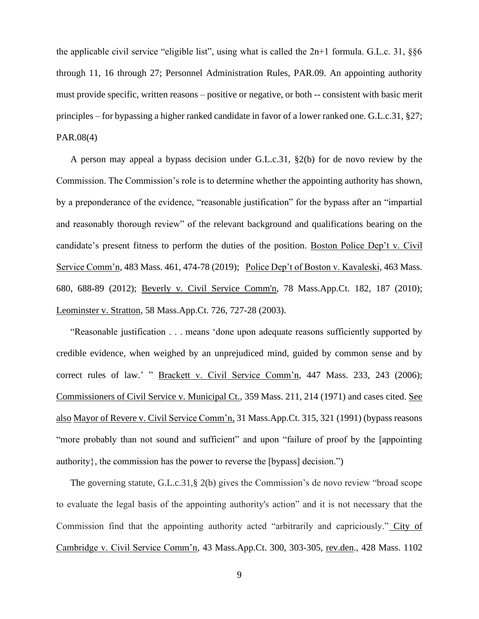the applicable civil service "eligible list", using what is called the 2n+1 formula. G.L.c. 31, §§6 through 11, 16 through 27; Personnel Administration Rules, PAR.09. An appointing authority must provide specific, written reasons – positive or negative, or both -- consistent with basic merit principles – for bypassing a higher ranked candidate in favor of a lower ranked one. G.L.c.31, §27; PAR.08(4)

A person may appeal a bypass decision under G.L.c.31, §2(b) for de novo review by the Commission. The Commission's role is to determine whether the appointing authority has shown, by a preponderance of the evidence, "reasonable justification" for the bypass after an "impartial and reasonably thorough review" of the relevant background and qualifications bearing on the candidate's present fitness to perform the duties of the position. Boston Police Dep't v. Civil Service Comm'n, 483 Mass. 461, 474-78 (2019); Police Dep't of Boston v. Kavaleski, 463 Mass. 680, 688-89 (2012); [Beverly v. Civil Service Comm'n, 78 Mass.App.Ct. 182, 187 \(2010\);](http://web2.westlaw.com/find/default.wl?mt=Massachusetts&db=578&rs=WLW15.04&tc=-1&rp=%2ffind%2fdefault.wl&findtype=Y&ordoc=2029136022&serialnum=2023501172&vr=2.0&fn=_top&sv=Split&tf=-1&pbc=70F732C1&utid=1) Leominster v. Stratton, 58 Mass.App.Ct. 726, 727-28 (2003).

"Reasonable justification . . . means 'done upon adequate reasons sufficiently supported by credible evidence, when weighed by an unprejudiced mind, guided by common sense and by correct rules of law.' " Brackett v. Civil Service Comm'n, 447 Mass. 233, 243 (2006); Commissioners of Civil Service v. Municipal Ct., 359 Mass. 211, 214 (1971) and cases cited. See also Mayor of Revere v. Civil Service Comm'n, 31 Mass.App.Ct. 315, 321 (1991) (bypass reasons "more probably than not sound and sufficient" and upon "failure of proof by the [appointing authority}, the commission has the power to reverse the [bypass] decision.")

The governing statute, G.L.c.31,§ 2(b) gives the Commission's de novo review "broad scope to evaluate the legal basis of the appointing authority's action" and it is not necessary that the Commission find that the appointing authority acted "arbitrarily and capriciously." City of Cambridge v. Civil Service Comm'n, 43 Mass.App.Ct. 300, 303-305, rev.den., 428 Mass. 1102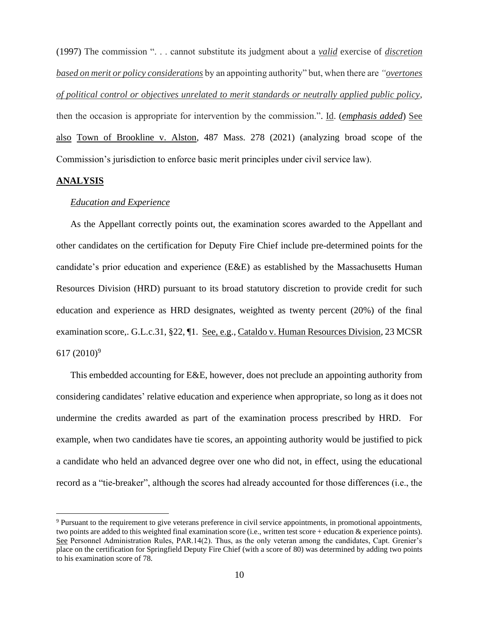(1997) The commission ". . . cannot substitute its judgment about a *valid* exercise of *discretion based on merit or policy considerations* by an appointing authority" but, when there are *"overtones of political control or objectives unrelated to merit standards or neutrally applied public policy*, then the occasion is appropriate for intervention by the commission.". Id. (*emphasis added*) See also Town of Brookline v. Alston, 487 Mass. 278 (2021) (analyzing broad scope of the Commission's jurisdiction to enforce basic merit principles under civil service law).

## **ANALYSIS**

### *Education and Experience*

As the Appellant correctly points out, the examination scores awarded to the Appellant and other candidates on the certification for Deputy Fire Chief include pre-determined points for the candidate's prior education and experience (E&E) as established by the Massachusetts Human Resources Division (HRD) pursuant to its broad statutory discretion to provide credit for such education and experience as HRD designates, weighted as twenty percent (20%) of the final examination score,. G.L.c.31, §22, ¶1. See, e.g., Cataldo v. Human Resources Division, 23 MCSR 617 (2010)<sup>9</sup>

This embedded accounting for E&E, however, does not preclude an appointing authority from considering candidates' relative education and experience when appropriate, so long as it does not undermine the credits awarded as part of the examination process prescribed by HRD. For example, when two candidates have tie scores, an appointing authority would be justified to pick a candidate who held an advanced degree over one who did not, in effect, using the educational record as a "tie-breaker", although the scores had already accounted for those differences (i.e., the

<sup>9</sup> Pursuant to the requirement to give veterans preference in civil service appointments, in promotional appointments, two points are added to this weighted final examination score (i.e., written test score + education & experience points). See Personnel Administration Rules, PAR.14(2). Thus, as the only veteran among the candidates, Capt. Grenier's place on the certification for Springfield Deputy Fire Chief (with a score of 80) was determined by adding two points to his examination score of 78.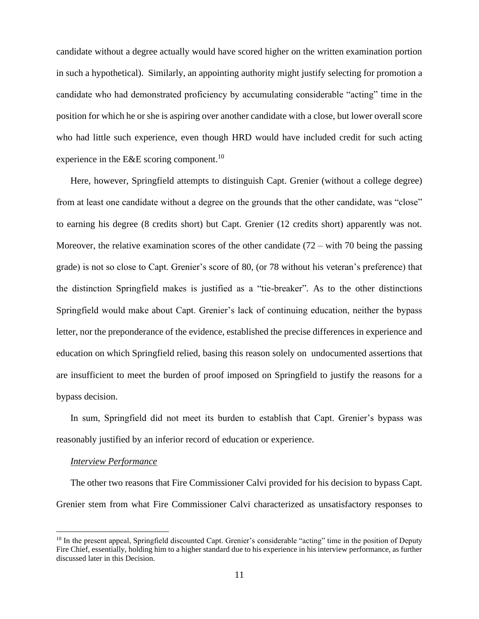candidate without a degree actually would have scored higher on the written examination portion in such a hypothetical). Similarly, an appointing authority might justify selecting for promotion a candidate who had demonstrated proficiency by accumulating considerable "acting" time in the position for which he or she is aspiring over another candidate with a close, but lower overall score who had little such experience, even though HRD would have included credit for such acting experience in the E&E scoring component.<sup>10</sup>

Here, however, Springfield attempts to distinguish Capt. Grenier (without a college degree) from at least one candidate without a degree on the grounds that the other candidate, was "close" to earning his degree (8 credits short) but Capt. Grenier (12 credits short) apparently was not. Moreover, the relative examination scores of the other candidate  $(72 - \text{with } 70 \text{ being the passing})$ grade) is not so close to Capt. Grenier's score of 80, (or 78 without his veteran's preference) that the distinction Springfield makes is justified as a "tie-breaker". As to the other distinctions Springfield would make about Capt. Grenier's lack of continuing education, neither the bypass letter, nor the preponderance of the evidence, established the precise differences in experience and education on which Springfield relied, basing this reason solely on undocumented assertions that are insufficient to meet the burden of proof imposed on Springfield to justify the reasons for a bypass decision.

In sum, Springfield did not meet its burden to establish that Capt. Grenier's bypass was reasonably justified by an inferior record of education or experience.

# *Interview Performance*

The other two reasons that Fire Commissioner Calvi provided for his decision to bypass Capt. Grenier stem from what Fire Commissioner Calvi characterized as unsatisfactory responses to

<sup>&</sup>lt;sup>10</sup> In the present appeal, Springfield discounted Capt. Grenier's considerable "acting" time in the position of Deputy Fire Chief, essentially, holding him to a higher standard due to his experience in his interview performance, as further discussed later in this Decision.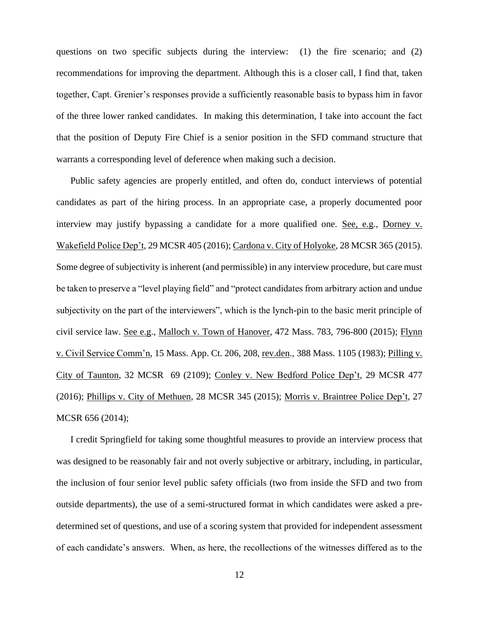questions on two specific subjects during the interview: (1) the fire scenario; and (2) recommendations for improving the department. Although this is a closer call, I find that, taken together, Capt. Grenier's responses provide a sufficiently reasonable basis to bypass him in favor of the three lower ranked candidates. In making this determination, I take into account the fact that the position of Deputy Fire Chief is a senior position in the SFD command structure that warrants a corresponding level of deference when making such a decision.

Public safety agencies are properly entitled, and often do, conduct interviews of potential candidates as part of the hiring process. In an appropriate case, a properly documented poor interview may justify bypassing a candidate for a more qualified one. See, e.g., Dorney v. Wakefield Police Dep't, 29 MCSR 405 (2016); Cardona v. City of Holyoke, 28 MCSR 365 (2015). Some degree of subjectivity is inherent (and permissible) in any interview procedure, but care must be taken to preserve a "level playing field" and "protect candidates from arbitrary action and undue subjectivity on the part of the interviewers", which is the lynch-pin to the basic merit principle of civil service law. See e.g., Malloch v. Town of Hanover, 472 Mass. 783, 796-800 (2015); Flynn v. Civil Service Comm'n, 15 Mass. App. Ct. 206, 208, rev.den., 388 Mass. 1105 (1983); Pilling v. City of Taunton, 32 MCSR 69 (2109); Conley v. New Bedford Police Dep't, 29 MCSR 477 (2016); Phillips v. City of Methuen, 28 MCSR 345 (2015); Morris v. Braintree Police Dep't, 27 MCSR 656 (2014);

I credit Springfield for taking some thoughtful measures to provide an interview process that was designed to be reasonably fair and not overly subjective or arbitrary, including, in particular, the inclusion of four senior level public safety officials (two from inside the SFD and two from outside departments), the use of a semi-structured format in which candidates were asked a predetermined set of questions, and use of a scoring system that provided for independent assessment of each candidate's answers. When, as here, the recollections of the witnesses differed as to the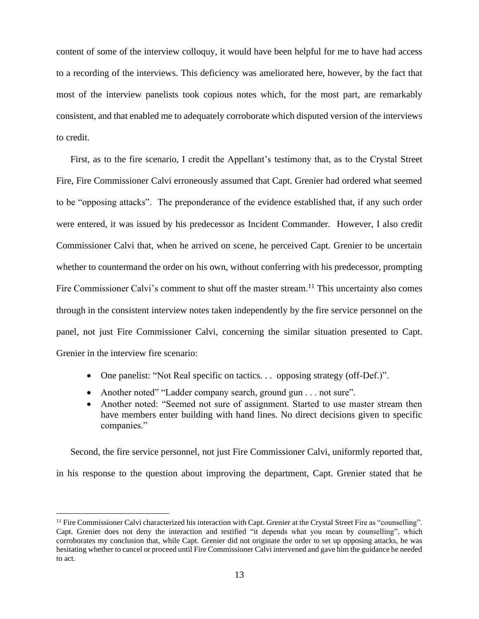content of some of the interview colloquy, it would have been helpful for me to have had access to a recording of the interviews. This deficiency was ameliorated here, however, by the fact that most of the interview panelists took copious notes which, for the most part, are remarkably consistent, and that enabled me to adequately corroborate which disputed version of the interviews to credit.

First, as to the fire scenario, I credit the Appellant's testimony that, as to the Crystal Street Fire, Fire Commissioner Calvi erroneously assumed that Capt. Grenier had ordered what seemed to be "opposing attacks". The preponderance of the evidence established that, if any such order were entered, it was issued by his predecessor as Incident Commander. However, I also credit Commissioner Calvi that, when he arrived on scene, he perceived Capt. Grenier to be uncertain whether to countermand the order on his own, without conferring with his predecessor, prompting Fire Commissioner Calvi's comment to shut off the master stream.<sup>11</sup> This uncertainty also comes through in the consistent interview notes taken independently by the fire service personnel on the panel, not just Fire Commissioner Calvi, concerning the similar situation presented to Capt. Grenier in the interview fire scenario:

- One panelist: "Not Real specific on tactics... opposing strategy (off-Def.)".
- Another noted" "Ladder company search, ground gun . . . not sure".
- Another noted: "Seemed not sure of assignment. Started to use master stream then have members enter building with hand lines. No direct decisions given to specific companies."

Second, the fire service personnel, not just Fire Commissioner Calvi, uniformly reported that, in his response to the question about improving the department, Capt. Grenier stated that he

<sup>&</sup>lt;sup>11</sup> Fire Commissioner Calvi characterized his interaction with Capt. Grenier at the Crystal Street Fire as "counselling". Capt. Grenier does not deny the interaction and testified "it depends what you mean by counselling", which corroborates my conclusion that, while Capt. Grenier did not originate the order to set up opposing attacks, he was hesitating whether to cancel or proceed until Fire Commissioner Calvi intervened and gave him the guidance he needed to act.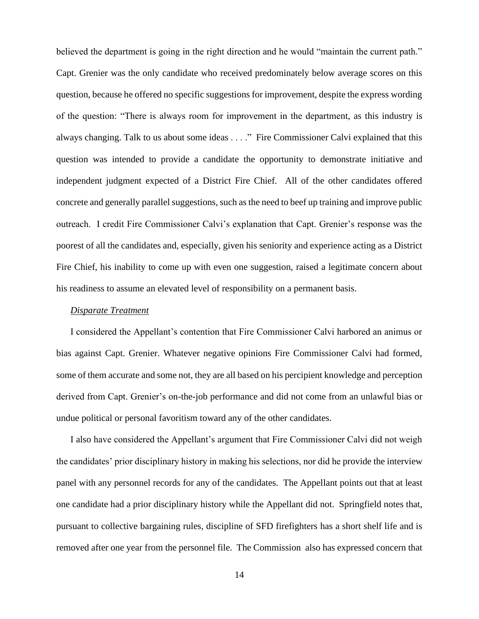believed the department is going in the right direction and he would "maintain the current path." Capt. Grenier was the only candidate who received predominately below average scores on this question, because he offered no specific suggestions for improvement, despite the express wording of the question: "There is always room for improvement in the department, as this industry is always changing. Talk to us about some ideas . . . ." Fire Commissioner Calvi explained that this question was intended to provide a candidate the opportunity to demonstrate initiative and independent judgment expected of a District Fire Chief. All of the other candidates offered concrete and generally parallel suggestions, such as the need to beef up training and improve public outreach. I credit Fire Commissioner Calvi's explanation that Capt. Grenier's response was the poorest of all the candidates and, especially, given his seniority and experience acting as a District Fire Chief, his inability to come up with even one suggestion, raised a legitimate concern about his readiness to assume an elevated level of responsibility on a permanent basis.

### *Disparate Treatment*

I considered the Appellant's contention that Fire Commissioner Calvi harbored an animus or bias against Capt. Grenier. Whatever negative opinions Fire Commissioner Calvi had formed, some of them accurate and some not, they are all based on his percipient knowledge and perception derived from Capt. Grenier's on-the-job performance and did not come from an unlawful bias or undue political or personal favoritism toward any of the other candidates.

I also have considered the Appellant's argument that Fire Commissioner Calvi did not weigh the candidates' prior disciplinary history in making his selections, nor did he provide the interview panel with any personnel records for any of the candidates. The Appellant points out that at least one candidate had a prior disciplinary history while the Appellant did not. Springfield notes that, pursuant to collective bargaining rules, discipline of SFD firefighters has a short shelf life and is removed after one year from the personnel file. The Commission also has expressed concern that